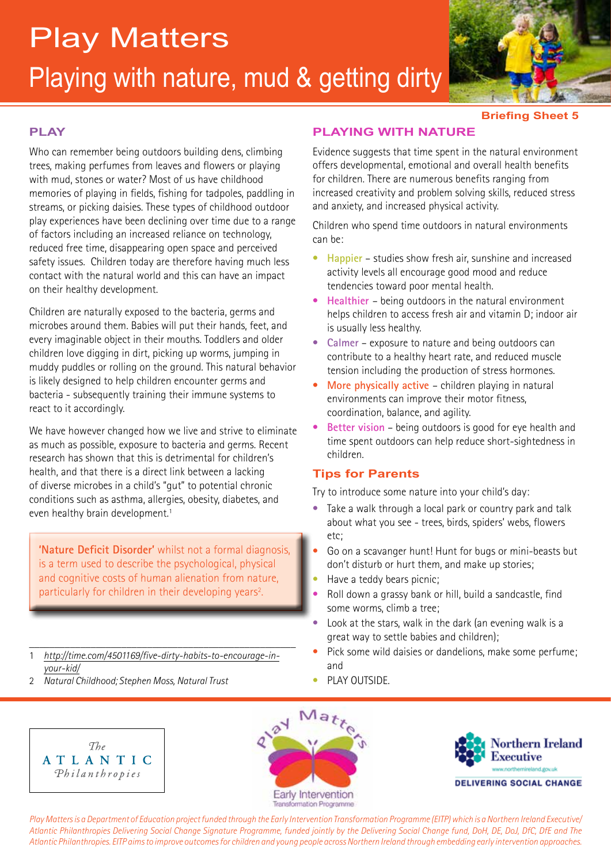# Playing with nature, mud & getting dirty Play Matters



**Briefing Sheet 5**

### **PLAY**

Who can remember being outdoors building dens, climbing trees, making perfumes from leaves and flowers or playing with mud, stones or water? Most of us have childhood memories of playing in fields, fishing for tadpoles, paddling in streams, or picking daisies. These types of childhood outdoor play experiences have been declining over time due to a range of factors including an increased reliance on technology, reduced free time, disappearing open space and perceived safety issues. Children today are therefore having much less contact with the natural world and this can have an impact on their healthy development.

Children are naturally exposed to the bacteria, germs and microbes around them. Babies will put their hands, feet, and every imaginable object in their mouths. Toddlers and older children love digging in dirt, picking up worms, jumping in muddy puddles or rolling on the ground. This natural behavior is likely designed to help children encounter germs and bacteria - subsequently training their immune systems to react to it accordingly.

We have however changed how we live and strive to eliminate as much as possible, exposure to bacteria and germs. Recent research has shown that this is detrimental for children's health, and that there is a direct link between a lacking of diverse microbes in a child's "gut" to potential chronic conditions such as asthma, allergies, obesity, diabetes, and even healthy brain development.<sup>1</sup>

**'Nature Deficit Disorder'** whilst not a formal diagnosis, is a term used to describe the psychological, physical and cognitive costs of human alienation from nature, particularly for children in their developing years<sup>2</sup>. .

- \_\_\_\_\_\_\_\_\_\_\_\_\_\_\_\_\_\_\_\_\_\_\_\_\_\_\_\_\_\_\_\_\_\_\_\_\_\_\_\_\_\_\_\_\_\_\_\_\_\_\_\_ 1 *http://time.com/4501169/five-dirty-habits-to-encourage-inyour-kid/*
- 2 *Natural Childhood; Stephen Moss, Natural Trust*

## **PLAYING WITH NATURE**

Evidence suggests that time spent in the natural environment offers developmental, emotional and overall health benefits for children. There are numerous benefits ranging from increased creativity and problem solving skills, reduced stress and anxiety, and increased physical activity.

Children who spend time outdoors in natural environments can be:

- **Happier** studies show fresh air, sunshine and increased activity levels all encourage good mood and reduce tendencies toward poor mental health.
- **Healthier**  being outdoors in the natural environment helps children to access fresh air and vitamin D; indoor air is usually less healthy.
- **Calmer** exposure to nature and being outdoors can contribute to a healthy heart rate, and reduced muscle tension including the production of stress hormones.
- **More physically active**  children playing in natural environments can improve their motor fitness, coordination, balance, and agility.
- **Better vision** being outdoors is good for eye health and time spent outdoors can help reduce short-sightedness in children.

### **Tips for Parents**

Try to introduce some nature into your child's day:

- Take a walk through a local park or country park and talk about what you see - trees, birds, spiders' webs, flowers etc;
- Go on a scavanger hunt! Hunt for bugs or mini-beasts but don't disturb or hurt them, and make up stories;
- Have a teddy bears picnic;
- Roll down a grassy bank or hill, build a sandcastle, find some worms, climb a tree;
- Look at the stars, walk in the dark (an evening walk is a great way to settle babies and children);
- Pick some wild daisies or dandelions, make some perfume; and
- PLAY OUTSIDE.







*Play Matters is a Department of Education project funded through the Early Intervention Transformation Programme (EITP) which is a Northern Ireland Executive/ Atlantic Philanthropies Delivering Social Change Signature Programme, funded jointly by the Delivering Social Change fund, DoH, DE, DoJ, DfC, DfE and The Atlantic Philanthropies. EITP aims to improve outcomes for children and young people across Northern Ireland through embedding early intervention approaches.*